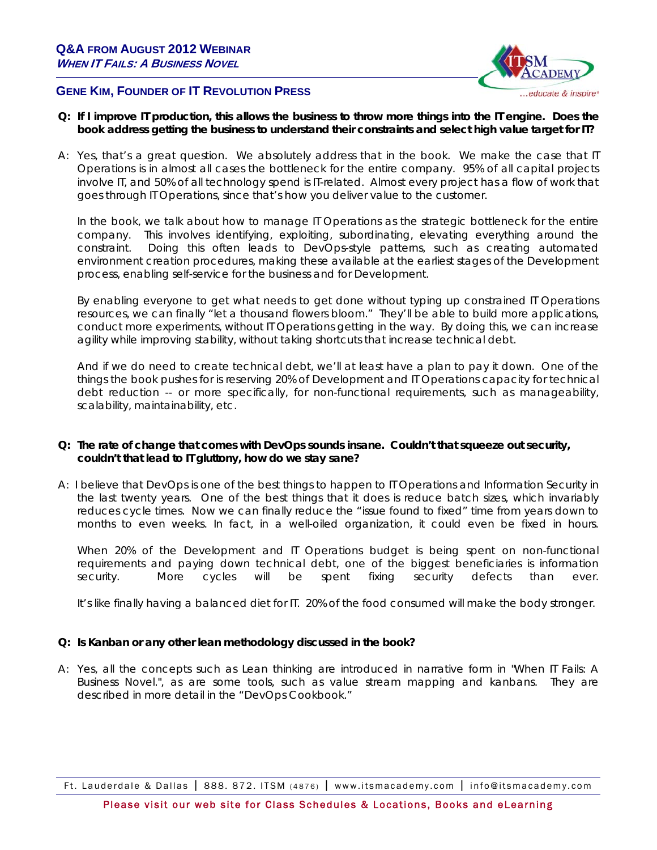

# **GENE KIM, FOUNDER OF IT REVOLUTION PRESS**

- **Q: If I improve IT production, this allows the business to throw more things into the IT engine. Does the book address getting the business to understand their constraints and select high value target for IT?**
- A: Yes, that's a great question. We absolutely address that in the book. We make the case that IT Operations is in almost all cases the bottleneck for the entire company. 95% of all capital projects involve IT, and 50% of all technology spend is IT-related. Almost every project has a flow of work that goes through IT Operations, since that's how you deliver value to the customer.

In the book, we talk about how to manage IT Operations as the strategic bottleneck for the entire company. This involves identifying, exploiting, subordinating, elevating everything around the constraint. Doing this often leads to DevOps-style patterns, such as creating automated environment creation procedures, making these available at the earliest stages of the Development process, enabling self-service for the business and for Development.

By enabling everyone to get what needs to get done without typing up constrained IT Operations resources, we can finally "let a thousand flowers bloom." They'll be able to build more applications, conduct more experiments, without IT Operations getting in the way. By doing this, we can increase agility while improving stability, without taking shortcuts that increase technical debt.

And if we do need to create technical debt, we'll at least have a plan to pay it down. One of the things the book pushes for is reserving 20% of Development and IT Operations capacity for technical debt reduction -- or more specifically, for non-functional requirements, such as manageability, scalability, maintainability, etc.

## **Q: The rate of change that comes with DevOps sounds insane. Couldn't that squeeze out security, couldn't that lead to IT gluttony, how do we stay sane?**

A: I believe that DevOps is one of the best things to happen to IT Operations and Information Security in the last twenty years. One of the best things that it does is reduce batch sizes, which invariably reduces cycle times. Now we can finally reduce the "issue found to fixed" time from years down to months to even weeks. In fact, in a well-oiled organization, it could even be fixed in hours.

When 20% of the Development and IT Operations budget is being spent on non-functional requirements and paying down technical debt, one of the biggest beneficiaries is information security. More cycles will be spent fixing security defects than ever.

It's like finally having a balanced diet for IT. 20% of the food consumed will make the body stronger.

## **Q: Is Kanban or any other lean methodology discussed in the book?**

A:Yes, all the concepts such as Lean thinking are introduced in narrative form in "When IT Fails: A Business Novel.", as are some tools, such as value stream mapping and kanbans. They are described in more detail in the "DevOps Cookbook."

Ft. Lauderdale & Dallas | 888. 872. ITSM (4876) | www.itsmacademy.com | info@itsmacademy.com